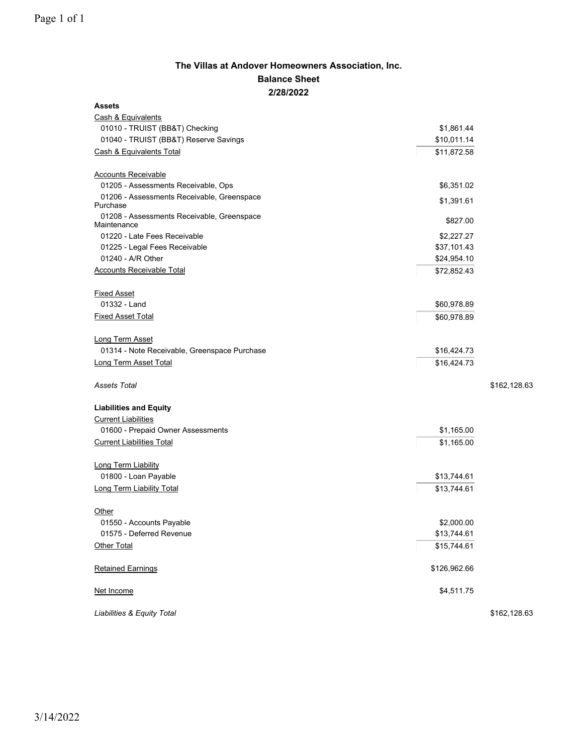## **The Villas at Andover Homeowners Association, Inc. Balance Sheet 2/28/2022**

| <b>Assets</b>                                             |              |              |
|-----------------------------------------------------------|--------------|--------------|
| Cash & Equivalents                                        |              |              |
| 01010 - TRUIST (BB&T) Checking                            | \$1,861.44   |              |
| 01040 - TRUIST (BB&T) Reserve Savings                     | \$10,011.14  |              |
| Cash & Equivalents Total                                  | \$11,872.58  |              |
| <b>Accounts Receivable</b>                                |              |              |
| 01205 - Assessments Receivable, Ops                       | \$6,351.02   |              |
| 01206 - Assessments Receivable, Greenspace<br>Purchase    | \$1,391.61   |              |
| 01208 - Assessments Receivable, Greenspace<br>Maintenance | \$827.00     |              |
| 01220 - Late Fees Receivable                              | \$2,227.27   |              |
| 01225 - Legal Fees Receivable                             | \$37,101.43  |              |
| 01240 - A/R Other                                         | \$24,954.10  |              |
| <b>Accounts Receivable Total</b>                          | \$72,852.43  |              |
| <b>Fixed Asset</b>                                        |              |              |
| 01332 - Land                                              | \$60,978.89  |              |
| <b>Fixed Asset Total</b>                                  | \$60,978.89  |              |
| Long Term Asset                                           |              |              |
| 01314 - Note Receivable, Greenspace Purchase              | \$16,424.73  |              |
| Long Term Asset Total                                     | \$16,424.73  |              |
|                                                           |              |              |
| <b>Assets Total</b>                                       |              | \$162,128.63 |
| <b>Liabilities and Equity</b>                             |              |              |
| <b>Current Liabilities</b>                                |              |              |
| 01600 - Prepaid Owner Assessments                         | \$1,165.00   |              |
| <b>Current Liabilities Total</b>                          | \$1,165.00   |              |
| Long Term Liability                                       |              |              |
| 01800 - Loan Payable                                      | \$13,744.61  |              |
| <b>Long Term Liability Total</b>                          | \$13,744.61  |              |
| Other                                                     |              |              |
| 01550 - Accounts Payable                                  | \$2,000.00   |              |
| 01575 - Deferred Revenue                                  | \$13,744.61  |              |
| Other Total                                               | \$15,744.61  |              |
| <b>Retained Earnings</b>                                  | \$126,962.66 |              |
| Net Income                                                | \$4,511.75   |              |
| Liabilities & Equity Total                                |              | \$162,128.63 |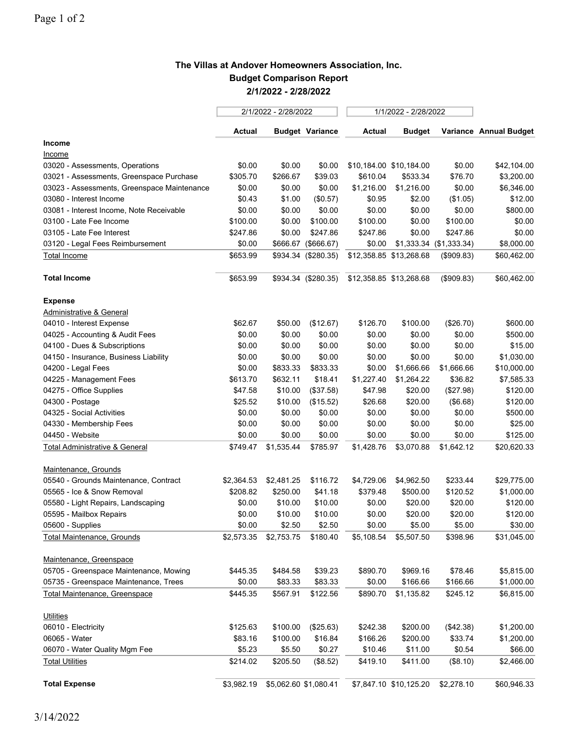## **The Villas at Andover Homeowners Association, Inc. Budget Comparison Report 2/1/2022 - 2/28/2022**

|                                             | 2/1/2022 - 2/28/2022 |                       | 1/1/2022 - 2/28/2022   |            |                         |                         |                        |
|---------------------------------------------|----------------------|-----------------------|------------------------|------------|-------------------------|-------------------------|------------------------|
|                                             | Actual               |                       | <b>Budget Variance</b> | Actual     | <b>Budget</b>           |                         | Variance Annual Budget |
| Income                                      |                      |                       |                        |            |                         |                         |                        |
| <u>Income</u>                               |                      |                       |                        |            |                         |                         |                        |
| 03020 - Assessments, Operations             | \$0.00               | \$0.00                | \$0.00                 |            | \$10,184.00 \$10,184.00 | \$0.00                  | \$42,104.00            |
| 03021 - Assessments, Greenspace Purchase    | \$305.70             | \$266.67              | \$39.03                | \$610.04   | \$533.34                | \$76.70                 | \$3,200.00             |
| 03023 - Assessments, Greenspace Maintenance | \$0.00               | \$0.00                | \$0.00                 | \$1,216.00 | \$1,216.00              | \$0.00                  | \$6,346.00             |
| 03080 - Interest Income                     | \$0.43               | \$1.00                | (\$0.57)               | \$0.95     | \$2.00                  | (\$1.05)                | \$12.00                |
| 03081 - Interest Income, Note Receivable    | \$0.00               | \$0.00                | \$0.00                 | \$0.00     | \$0.00                  | \$0.00                  | \$800.00               |
| 03100 - Late Fee Income                     | \$100.00             | \$0.00                | \$100.00               | \$100.00   | \$0.00                  | \$100.00                | \$0.00                 |
| 03105 - Late Fee Interest                   | \$247.86             | \$0.00                | \$247.86               | \$247.86   | \$0.00                  | \$247.86                | \$0.00                 |
| 03120 - Legal Fees Reimbursement            | \$0.00               | \$666.67              | (\$666.67)             | \$0.00     |                         | \$1,333.34 (\$1,333.34) | \$8,000.00             |
| Total Income                                | \$653.99             |                       | \$934.34 (\$280.35)    |            | \$12,358.85 \$13,268.68 | (\$909.83)              | \$60,462.00            |
| <b>Total Income</b>                         | \$653.99             |                       | \$934.34 (\$280.35)    |            | \$12,358.85 \$13,268.68 | (\$909.83)              | \$60,462.00            |
| <b>Expense</b>                              |                      |                       |                        |            |                         |                         |                        |
| Administrative & General                    |                      |                       |                        |            |                         |                         |                        |
| 04010 - Interest Expense                    | \$62.67              | \$50.00               | (\$12.67)              | \$126.70   | \$100.00                | (\$26.70)               | \$600.00               |
| 04025 - Accounting & Audit Fees             | \$0.00               | \$0.00                | \$0.00                 | \$0.00     | \$0.00                  | \$0.00                  | \$500.00               |
| 04100 - Dues & Subscriptions                | \$0.00               | \$0.00                | \$0.00                 | \$0.00     | \$0.00                  | \$0.00                  | \$15.00                |
| 04150 - Insurance, Business Liability       | \$0.00               | \$0.00                | \$0.00                 | \$0.00     | \$0.00                  | \$0.00                  | \$1,030.00             |
| 04200 - Legal Fees                          | \$0.00               | \$833.33              | \$833.33               | \$0.00     | \$1,666.66              | \$1,666.66              | \$10,000.00            |
| 04225 - Management Fees                     | \$613.70             | \$632.11              | \$18.41                | \$1,227.40 | \$1,264.22              | \$36.82                 | \$7,585.33             |
| 04275 - Office Supplies                     | \$47.58              | \$10.00               | (\$37.58)              | \$47.98    | \$20.00                 | (\$27.98)               | \$120.00               |
| 04300 - Postage                             | \$25.52              | \$10.00               | (\$15.52)              | \$26.68    | \$20.00                 | (\$6.68)                | \$120.00               |
| 04325 - Social Activities                   | \$0.00               | \$0.00                | \$0.00                 | \$0.00     | \$0.00                  | \$0.00                  | \$500.00               |
| 04330 - Membership Fees                     | \$0.00               | \$0.00                | \$0.00                 | \$0.00     | \$0.00                  | \$0.00                  | \$25.00                |
| 04450 - Website                             | \$0.00               | \$0.00                | \$0.00                 | \$0.00     | \$0.00                  | \$0.00                  | \$125.00               |
| <b>Total Administrative &amp; General</b>   | \$749.47             | \$1,535.44            | \$785.97               | \$1,428.76 | \$3,070.88              | \$1,642.12              | \$20,620.33            |
| Maintenance, Grounds                        |                      |                       |                        |            |                         |                         |                        |
| 05540 - Grounds Maintenance, Contract       | \$2,364.53           | \$2,481.25            | \$116.72               | \$4,729.06 | \$4,962.50              | \$233.44                | \$29,775.00            |
| 05565 - Ice & Snow Removal                  | \$208.82             | \$250.00              | \$41.18                | \$379.48   | \$500.00                | \$120.52                | \$1,000.00             |
| 05580 - Light Repairs, Landscaping          | \$0.00               | \$10.00               | \$10.00                | \$0.00     | \$20.00                 | \$20.00                 | \$120.00               |
| 05595 - Mailbox Repairs                     | \$0.00               | \$10.00               | \$10.00                | \$0.00     | \$20.00                 | \$20.00                 | \$120.00               |
| 05600 - Supplies                            | \$0.00               | \$2.50                | \$2.50                 | \$0.00     | \$5.00                  | \$5.00                  | \$30.00                |
| <b>Total Maintenance, Grounds</b>           | \$2,573.35           | \$2,753.75            | \$180.40               | \$5,108.54 | \$5,507.50              | \$398.96                | \$31,045.00            |
| Maintenance, Greenspace                     |                      |                       |                        |            |                         |                         |                        |
| 05705 - Greenspace Maintenance, Mowing      | \$445.35             | \$484.58              | \$39.23                | \$890.70   | \$969.16                | \$78.46                 | \$5,815.00             |
| 05735 - Greenspace Maintenance, Trees       | \$0.00               | \$83.33               | \$83.33                | \$0.00     | \$166.66                | \$166.66                | \$1,000.00             |
| <b>Total Maintenance, Greenspace</b>        | \$445.35             | \$567.91              | \$122.56               | \$890.70   | \$1,135.82              | \$245.12                | \$6,815.00             |
| <b>Utilities</b>                            |                      |                       |                        |            |                         |                         |                        |
| 06010 - Electricity                         | \$125.63             | \$100.00              | (\$25.63)              | \$242.38   | \$200.00                | (\$42.38)               | \$1,200.00             |
| 06065 - Water                               | \$83.16              | \$100.00              | \$16.84                | \$166.26   | \$200.00                | \$33.74                 | \$1,200.00             |
| 06070 - Water Quality Mgm Fee               | \$5.23               | \$5.50                | \$0.27                 | \$10.46    | \$11.00                 | \$0.54                  | \$66.00                |
| <b>Total Utilities</b>                      | \$214.02             | \$205.50              | (\$8.52)               | \$419.10   | \$411.00                | (\$8.10)                | \$2,466.00             |
| <b>Total Expense</b>                        | \$3,982.19           | \$5,062.60 \$1,080.41 |                        |            | \$7,847.10 \$10,125.20  | \$2,278.10              | \$60,946.33            |